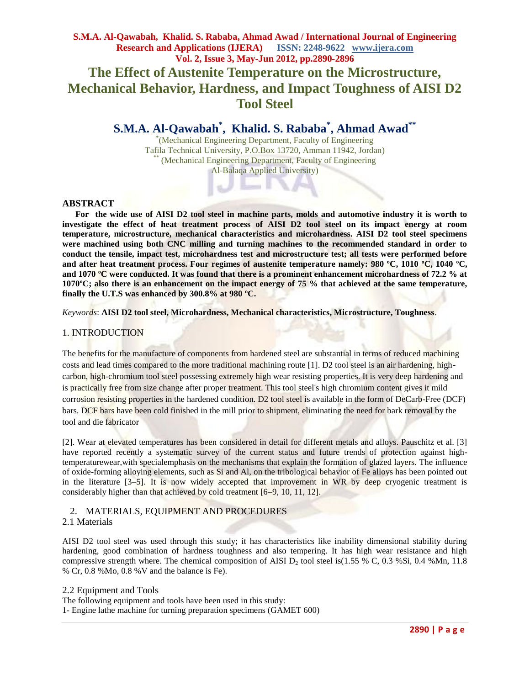## **S.M.A. Al-Qawabah, Khalid. S. Rababa, Ahmad Awad / International Journal of Engineering Research and Applications (IJERA) ISSN: 2248-9622 www.ijera.com Vol. 2, Issue 3, May-Jun 2012, pp.2890-2896 The Effect of Austenite Temperature on the Microstructure, Mechanical Behavior, Hardness, and Impact Toughness of AISI D2 Tool Steel**

# **S.M.A. Al-Qawabah\* , Khalid. S. Rababa\* , Ahmad Awad\*\***

\* (Mechanical Engineering Department, Faculty of Engineering Tafila Technical University, P.O.Box 13720, Amman 11942, Jordan) \*\* (Mechanical Engineering Department, Faculty of Engineering Al-Balaqa Applied University)

#### **ABSTRACT**

 **For the wide use of AISI D2 tool steel in machine parts, molds and automotive industry it is worth to investigate the effect of heat treatment process of AISI D2 tool steel on its impact energy at room temperature, microstructure, mechanical characteristics and microhardness. AISI D2 tool steel specimens were machined using both CNC milling and turning machines to the recommended standard in order to conduct the tensile, impact test, microhardness test and microstructure test; all tests were performed before and after heat treatment process. Four regimes of austenite temperature namely: 980 ºC, 1010 ºC, 1040 ºC, and 1070 ºC were conducted. It was found that there is a prominent enhancement microhardness of 72.2 % at 1070ºC; also there is an enhancement on the impact energy of 75 % that achieved at the same temperature, finally the U.T.S was enhanced by 300.8% at 980 ºC.**

*Keywords*: **AISI D2 tool steel, Microhardness, Mechanical characteristics, Microstructure, Toughness**.

## 1. INTRODUCTION

The benefits for the manufacture of components from hardened steel are substantial in terms of reduced machining costs and lead times compared to the more traditional machining route [1]. D2 tool steel is an air hardening, highcarbon, high-chromium tool steel possessing extremely high wear resisting properties. It is very deep hardening and is practically free from size change after proper treatment. This tool steel's high chromium content gives it mild corrosion resisting properties in the hardened condition. D2 tool steel is available in the form of DeCarb-Free (DCF) bars. DCF bars have been cold finished in the mill prior to shipment, eliminating the need for bark removal by the tool and die fabricator

[2]. Wear at elevated temperatures has been considered in detail for different metals and alloys. Pauschitz et al. [3] have reported recently a systematic survey of the current status and future trends of protection against hightemperaturewear,with specialemphasis on the mechanisms that explain the formation of glazed layers. The influence of oxide-forming alloying elements, such as Si and Al, on the tribological behavior of Fe alloys has been pointed out in the literature [3–5]. It is now widely accepted that improvement in WR by deep cryogenic treatment is considerably higher than that achieved by cold treatment [6–9, 10, 11, 12].

## 2. MATERIALS, EQUIPMENT AND PROCEDURES

## 2.1 Materials

AISI D2 tool steel was used through this study; it has characteristics like inability dimensional stability during hardening, good combination of hardness toughness and also tempering. It has high wear resistance and high compressive strength where. The chemical composition of AISI  $D_2$  tool steel is(1.55 % C, 0.3 %Si, 0.4 %Mn, 11.8 % Cr, 0.8 %Mo, 0.8 %V and the balance is Fe).

2.2 Equipment and Tools The following equipment and tools have been used in this study: 1- Engine lathe machine for turning preparation specimens (GAMET 600)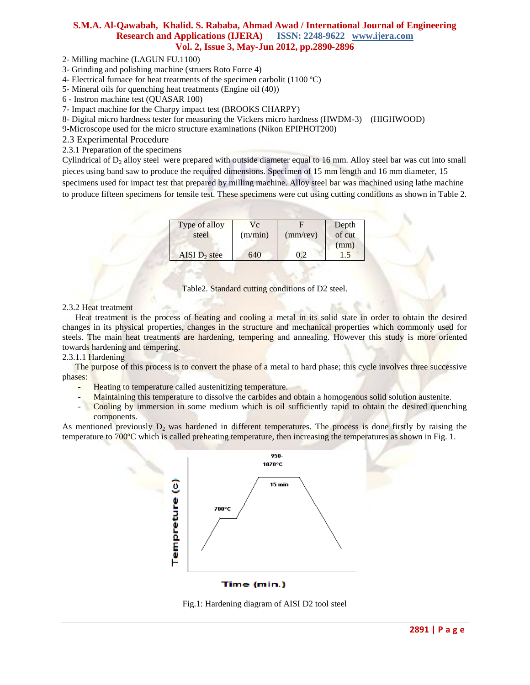2- Milling machine (LAGUN FU.1100)

3- Grinding and polishing machine (struers Roto Force 4)

4- Electrical furnace for heat treatments of the specimen carbolit (1100 ºC)

5- Mineral oils for quenching heat treatments (Engine oil (40))

6 - Instron machine test (QUASAR 100)

7- Impact machine for the Charpy impact test (BROOKS CHARPY)

8- Digital micro hardness tester for measuring the Vickers micro hardness (HWDM-3) (HIGHWOOD)

9-Microscope used for the micro structure examinations (Nikon EPIPHOT200)

2.3 Experimental Procedure

2.3.1 Preparation of the specimens

Cylindrical of  $D_2$  alloy steel were prepared with outside diameter equal to 16 mm. Alloy steel bar was cut into small pieces using band saw to produce the required dimensions. Specimen of 15 mm length and 16 mm diameter, 15 specimens used for impact test that prepared by milling machine. Alloy steel bar was machined using lathe machine to produce fifteen specimens for tensile test. These specimens were cut using cutting conditions as shown in Table 2.

| Type of alloy<br>steel | Vс<br>(m/min) | $(mm$ /rev) | Depth<br>of cut<br>(mm) |
|------------------------|---------------|-------------|-------------------------|
| AISI $D2$ stee         | 540           |             | . 5                     |



#### 2.3.2 Heat treatment

 Heat treatment is the process of heating and cooling a metal in its solid state in order to obtain the desired changes in its physical properties, changes in the structure and mechanical properties which commonly used for steels. The main heat treatments are hardening, tempering and annealing. However this study is more oriented towards hardening and tempering.

2.3.1.1 Hardening

 The purpose of this process is to convert the phase of a metal to hard phase; this cycle involves three successive phases:

- Heating to temperature called austenitizing temperature.
- Maintaining this temperature to dissolve the carbides and obtain a homogenous solid solution austenite.
- Cooling by immersion in some medium which is oil sufficiently rapid to obtain the desired quenching components.

As mentioned previously  $D<sub>2</sub>$  was hardened in different temperatures. The process is done firstly by raising the temperature to 700ºC which is called preheating temperature, then increasing the temperatures as shown in Fig. 1.



Time (min.)

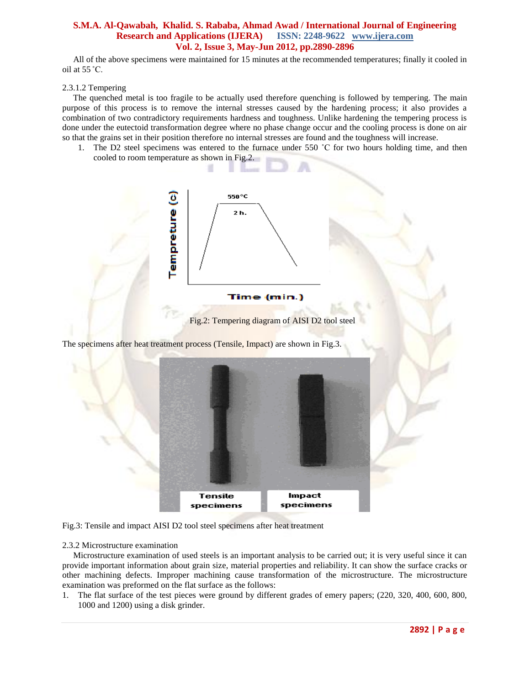All of the above specimens were maintained for 15 minutes at the recommended temperatures; finally it cooled in oil at 55 ˚C.

#### 2.3.1.2 Tempering

 The quenched metal is too fragile to be actually used therefore quenching is followed by tempering. The main purpose of this process is to remove the internal stresses caused by the hardening process; it also provides a combination of two contradictory requirements hardness and toughness. Unlike hardening the tempering process is done under the eutectoid transformation degree where no phase change occur and the cooling process is done on air so that the grains set in their position therefore no internal stresses are found and the toughness will increase.

1. The D2 steel specimens was entered to the furnace under 550 °C for two hours holding time, and then cooled to room temperature as shown in Fig.2.



Fig.2: Tempering diagram of AISI D2 tool steel

The specimens after heat treatment process (Tensile, Impact) are shown in Fig.3.



Fig.3: Tensile and impact AISI D2 tool steel specimens after heat treatment

#### 2.3.2 Microstructure examination

 Microstructure examination of used steels is an important analysis to be carried out; it is very useful since it can provide important information about grain size, material properties and reliability. It can show the surface cracks or other machining defects. Improper machining cause transformation of the microstructure. The microstructure examination was preformed on the flat surface as the follows:

1. The flat surface of the test pieces were ground by different grades of emery papers; (220, 320, 400, 600, 800, 1000 and 1200) using a disk grinder.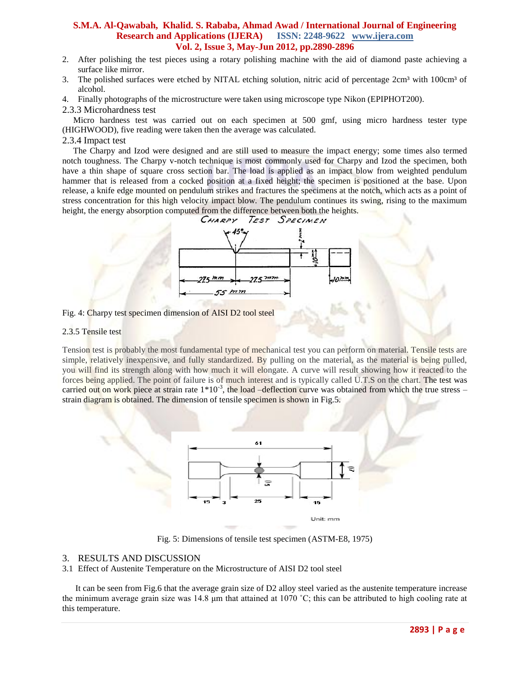- 2. After polishing the test pieces using a rotary polishing machine with the aid of diamond paste achieving a surface like mirror.
- 3. The polished surfaces were etched by NITAL etching solution, nitric acid of percentage 2cm<sup>3</sup> with 100cm<sup>3</sup> of alcohol.
- 4. Finally photographs of the microstructure were taken using microscope type Nikon (EPIPHOT200).
- 2.3.3 Microhardness test

 Micro hardness test was carried out on each specimen at 500 gmf, using micro hardness tester type (HIGHWOOD), five reading were taken then the average was calculated.

#### 2.3.4 Impact test

 The Charpy and Izod were designed and are still used to measure the impact energy; some times also termed notch toughness. The Charpy v-notch technique is most commonly used for Charpy and Izod the specimen, both have a thin shape of square cross section bar. The load is applied as an impact blow from weighted pendulum hammer that is released from a cocked position at a fixed height; the specimen is positioned at the base. Upon release, a knife edge mounted on pendulum strikes and fractures the specimens at the notch, which acts as a point of stress concentration for this high velocity impact blow. The pendulum continues its swing, rising to the maximum height, the energy absorption computed from the difference between both the heights.



Fig. 4: Charpy test specimen dimension of AISI D2 tool steel

#### 2.3.[5 Tensile test](http://www.instron.us/wa/resourcecenter/glossaryterm.aspx?ID=164)

Tension test is probably the most fundamental type of mechanical test you can perform on material. Tensile tests are simple, relatively inexpensive, and fully standardized. By pulling on the material, as the material is being pulled, you will find its strength along with how much it will elongate. A curve will result showing how it reacted to the forces being applied. The point of failure is of much interest and is typically called U.T.S on the chart. The test was carried out on work piece at strain rate  $1*10^{-3}$ , the load -deflection curve was obtained from which the true stress strain diagram is obtained. The dimension of tensile specimen is shown in Fig.5.



Fig. 5: Dimensions of tensile test specimen (ASTM-E8, 1975)

#### 3. RESULTS AND DISCUSSION

3.1 Effect of Austenite Temperature on the Microstructure of AISI D2 tool steel

 It can be seen from Fig.6 that the average grain size of D2 alloy steel varied as the austenite temperature increase the minimum average grain size was 14.8 μm that attained at 1070 ˚C; this can be attributed to high cooling rate at this temperature.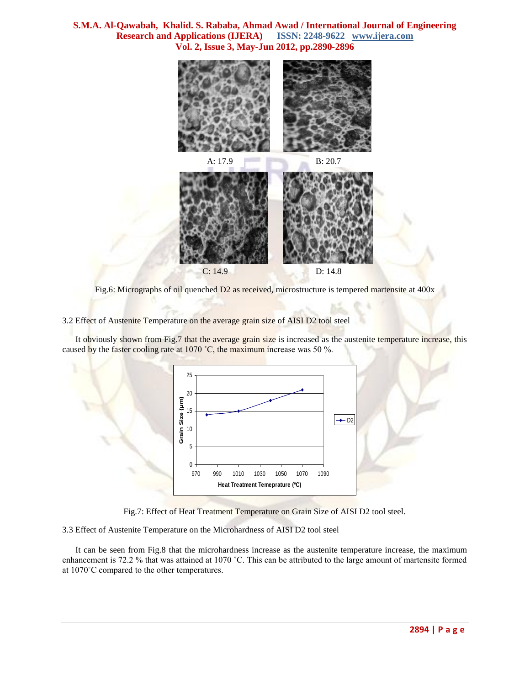

Fig.6: Micrographs of oil quenched D2 as received, microstructure is tempered martensite at 400x

3.2 Effect of Austenite Temperature on the average grain size of AISI D2 tool steel

 It obviously shown from Fig.7 that the average grain size is increased as the austenite temperature increase, this caused by the faster cooling rate at 1070 °C, the maximum increase was 50 %.





3.3 Effect of Austenite Temperature on the Microhardness of AISI D2 tool steel

 It can be seen from Fig.8 that the microhardness increase as the austenite temperature increase, the maximum enhancement is 72.2 % that was attained at 1070 ˚C. This can be attributed to the large amount of martensite formed at 1070˚C compared to the other temperatures.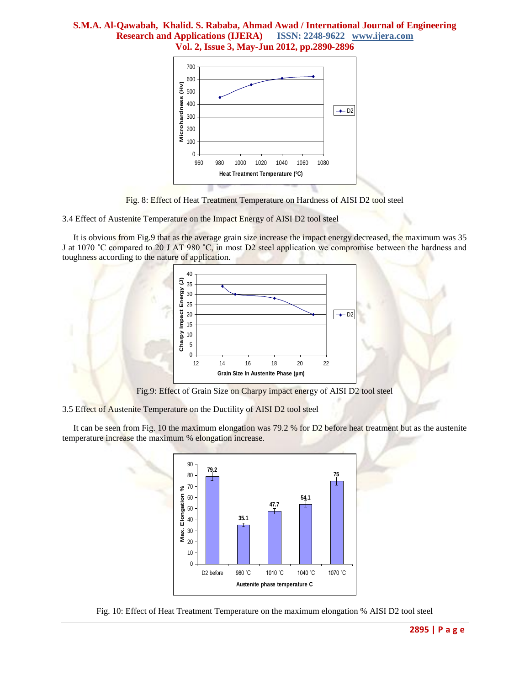

Fig. 8: Effect of Heat Treatment Temperature on Hardness of AISI D2 tool steel

3.4 Effect of Austenite Temperature on the Impact Energy of AISI D2 tool steel

 It is obvious from Fig.9 that as the average grain size increase the impact energy decreased, the maximum was 35 J at 1070 °C compared to 20 J AT 980 °C, in most D2 steel application we compromise between the hardness and toughness according to the nature of application.



Fig.9: Effect of Grain Size on Charpy impact energy of AISI D2 tool steel

3.5 Effect of Austenite Temperature on the Ductility of AISI D2 tool steel

 It can be seen from Fig. 10 the maximum elongation was 79.2 % for D2 before heat treatment but as the austenite temperature increase the maximum % elongation increase.



Fig. 10: Effect of Heat Treatment Temperature on the maximum elongation % AISI D2 tool steel